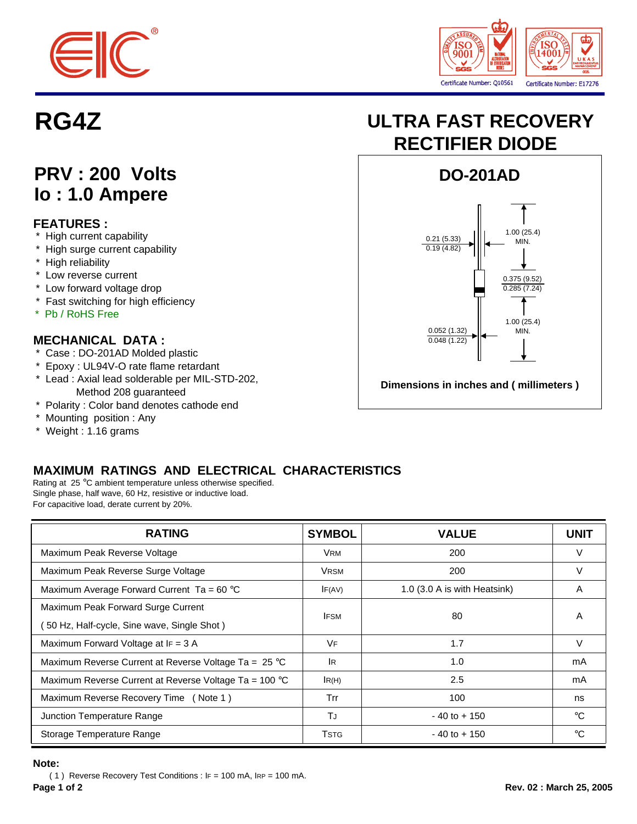



## **PRV : 200 Volts Io : 1.0 Ampere**

### **FEATURES :**

- \* High current capability
- \* High surge current capability
- \* High reliability
- \* Low reverse current
- \* Low forward voltage drop
- \* Fast switching for high efficiency
- \* Pb / RoHS Free

### **MECHANICAL DATA :**

- \* Case : DO-201AD Molded plastic
- \* Epoxy : UL94V-O rate flame retardant
- \* Lead : Axial lead solderable per MIL-STD-202, Method 208 guaranteed
- \* Polarity : Color band denotes cathode end
- \* Mounting position : Any
- \* Weight : 1.16 grams

## **MAXIMUM RATINGS AND ELECTRICAL CHARACTERISTICS**

Rating at 25 °C ambient temperature unless otherwise specified. Single phase, half wave, 60 Hz, resistive or inductive load. For capacitive load, derate current by 20%.

| <b>RATING</b>                                                   | <b>SYMBOL</b> | <b>VALUE</b>                 | <b>UNIT</b> |
|-----------------------------------------------------------------|---------------|------------------------------|-------------|
| Maximum Peak Reverse Voltage                                    | <b>VRM</b>    | 200                          | V           |
| Maximum Peak Reverse Surge Voltage                              | <b>VRSM</b>   | 200                          | V           |
| Maximum Average Forward Current Ta = $60^{\circ}$ C             | IF(AV)        | 1.0 (3.0 A is with Heatsink) | A           |
| Maximum Peak Forward Surge Current                              | <b>IFSM</b>   | 80                           | A           |
| 50 Hz, Half-cycle, Sine wave, Single Shot)                      |               |                              |             |
| Maximum Forward Voltage at IF = 3 A                             | VF            | 1.7                          | V           |
| Maximum Reverse Current at Reverse Voltage Ta = $25^{\circ}$ C  | <b>IR</b>     | 1.0                          | mA          |
| Maximum Reverse Current at Reverse Voltage Ta = $100^{\circ}$ C | IR(H)         | 2.5                          | mA          |
| Maximum Reverse Recovery Time (Note 1)                          | Trr           | 100                          | ns          |
| Junction Temperature Range                                      | TJ            | $-40$ to $+150$              | °€          |
| Storage Temperature Range                                       | <b>T</b> STG  | $-40$ to $+150$              | $^{\circ}C$ |

#### **Note:**

( 1 ) Reverse Recovery Test Conditions : IF = 100 mA, IRP = 100 mA.

# **RG4Z ULTRA FAST RECOVERY RECTIFIER DIODE**